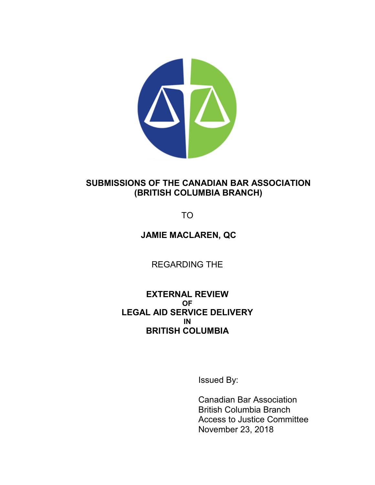

# **SUBMISSIONS OF THE CANADIAN BAR ASSOCIATION (BRITISH COLUMBIA BRANCH)**

TO

# **JAMIE MACLAREN, QC**

REGARDING THE

# **EXTERNAL REVIEW OF LEGAL AID SERVICE DELIVERY IN BRITISH COLUMBIA**

Issued By:

Canadian Bar Association British Columbia Branch Access to Justice Committee November 23, 2018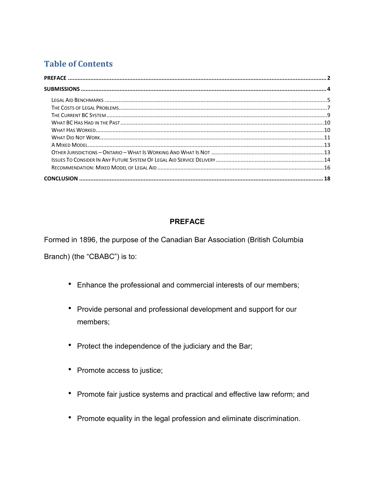# **Table of Contents**

# **PREFACE**

<span id="page-1-0"></span>Formed in 1896, the purpose of the Canadian Bar Association (British Columbia

Branch) (the "CBABC") is to:

- Enhance the professional and commercial interests of our members;
- Provide personal and professional development and support for our members:
- Protect the independence of the judiciary and the Bar;
- Promote access to justice;
- Promote fair justice systems and practical and effective law reform; and
- Promote equality in the legal profession and eliminate discrimination.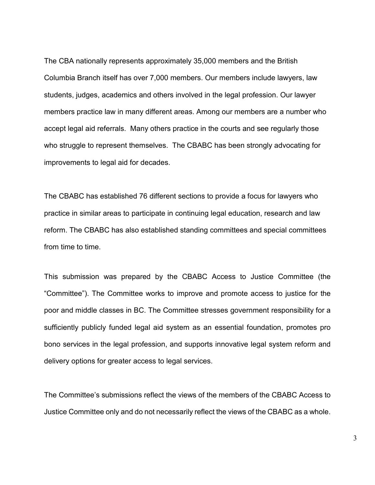The CBA nationally represents approximately 35,000 members and the British Columbia Branch itself has over 7,000 members. Our members include lawyers, law students, judges, academics and others involved in the legal profession. Our lawyer members practice law in many different areas. Among our members are a number who accept legal aid referrals. Many others practice in the courts and see regularly those who struggle to represent themselves. The CBABC has been strongly advocating for improvements to legal aid for decades.

The CBABC has established 76 different sections to provide a focus for lawyers who practice in similar areas to participate in continuing legal education, research and law reform. The CBABC has also established standing committees and special committees from time to time.

This submission was prepared by the CBABC Access to Justice Committee (the "Committee"). The Committee works to improve and promote access to justice for the poor and middle classes in BC. The Committee stresses government responsibility for a sufficiently publicly funded legal aid system as an essential foundation, promotes pro bono services in the legal profession, and supports innovative legal system reform and delivery options for greater access to legal services.

The Committee's submissions reflect the views of the members of the CBABC Access to Justice Committee only and do not necessarily reflect the views of the CBABC as a whole.

3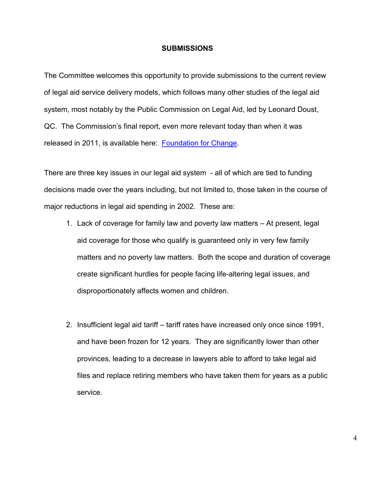#### **SUBMISSIONS**

<span id="page-3-0"></span>The Committee welcomes this opportunity to provide submissions to the current review of legal aid service delivery models, which follows many other studies of the legal aid system, most notably by the Public Commission on Legal Aid, led by Leonard Doust, QC. The Commission's final report, even more relevant today than when it was released in 2011, is available here: [Foundation for Change.](http://publiccommission.org/media/PDF/pcla_report_03_08_11.pdf)

There are three key issues in our legal aid system - all of which are tied to funding decisions made over the years including, but not limited to, those taken in the course of major reductions in legal aid spending in 2002. These are:

- 1. Lack of coverage for family law and poverty law matters At present, legal aid coverage for those who qualify is guaranteed only in very few family matters and no poverty law matters. Both the scope and duration of coverage create significant hurdles for people facing life-altering legal issues, and disproportionately affects women and children.
- 2. Insufficient legal aid tariff tariff rates have increased only once since 1991, and have been frozen for 12 years. They are significantly lower than other provinces, leading to a decrease in lawyers able to afford to take legal aid files and replace retiring members who have taken them for years as a public service.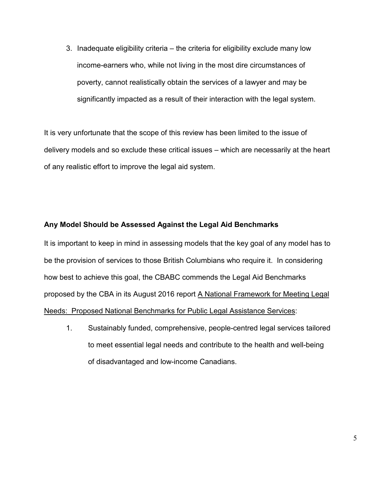3. Inadequate eligibility criteria – the criteria for eligibility exclude many low income-earners who, while not living in the most dire circumstances of poverty, cannot realistically obtain the services of a lawyer and may be significantly impacted as a result of their interaction with the legal system.

It is very unfortunate that the scope of this review has been limited to the issue of delivery models and so exclude these critical issues – which are necessarily at the heart of any realistic effort to improve the legal aid system.

### <span id="page-4-0"></span>**Any Model Should be Assessed Against the Legal Aid Benchmarks**

It is important to keep in mind in assessing models that the key goal of any model has to be the provision of services to those British Columbians who require it. In considering how best to achieve this goal, the CBABC commends the Legal Aid Benchmarks proposed by the CBA in its August 2016 report A National Framework for Meeting Legal Needs: Proposed National Benchmarks for Public Legal Assistance Services:

1. Sustainably funded, comprehensive, people-centred legal services tailored to meet essential legal needs and contribute to the health and well-being of disadvantaged and low-income Canadians.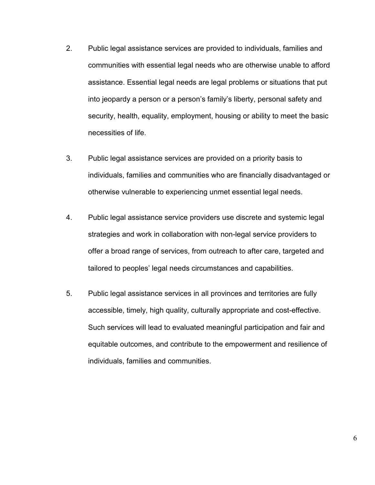- 2. Public legal assistance services are provided to individuals, families and communities with essential legal needs who are otherwise unable to afford assistance. Essential legal needs are legal problems or situations that put into jeopardy a person or a person's family's liberty, personal safety and security, health, equality, employment, housing or ability to meet the basic necessities of life.
- 3. Public legal assistance services are provided on a priority basis to individuals, families and communities who are financially disadvantaged or otherwise vulnerable to experiencing unmet essential legal needs.
- 4. Public legal assistance service providers use discrete and systemic legal strategies and work in collaboration with non-legal service providers to offer a broad range of services, from outreach to after care, targeted and tailored to peoples' legal needs circumstances and capabilities.
- 5. Public legal assistance services in all provinces and territories are fully accessible, timely, high quality, culturally appropriate and cost-effective. Such services will lead to evaluated meaningful participation and fair and equitable outcomes, and contribute to the empowerment and resilience of individuals, families and communities.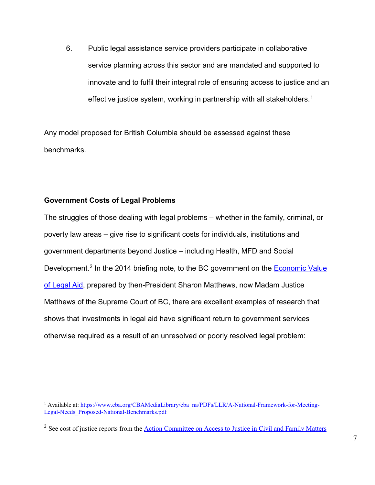6. Public legal assistance service providers participate in collaborative service planning across this sector and are mandated and supported to innovate and to fulfil their integral role of ensuring access to justice and an effective justice system, working in partnership with all stakeholders.<sup>[1](#page-6-1)</sup>

Any model proposed for British Columbia should be assessed against these benchmarks.

## <span id="page-6-0"></span>**Government Costs of Legal Problems**

The struggles of those dealing with legal problems – whether in the family, criminal, or poverty law areas – give rise to significant costs for individuals, institutions and government departments beyond Justice – including Health, MFD and Social Development.<sup>[2](#page-6-2)</sup> In the 2014 briefing note, to the BC government on the Economic Value [of Legal Aid,](http://www.weneedlegalaid.com/wp-content/uploads/2011/10/Economic_Value_of_Legal_Aid_-_Briefing_Note1.pdf) prepared by then-President Sharon Matthews, now Madam Justice Matthews of the Supreme Court of BC, there are excellent examples of research that shows that investments in legal aid have significant return to government services otherwise required as a result of an unresolved or poorly resolved legal problem:

<span id="page-6-1"></span><sup>&</sup>lt;sup>1</sup> Available at[: https://www.cba.org/CBAMediaLibrary/cba\\_na/PDFs/LLR/A-National-Framework-for-Meeting-](https://www.cba.org/CBAMediaLibrary/cba_na/PDFs/LLR/A-National-Framework-for-Meeting-Legal-Needs_Proposed-National-Benchmarks.pdf)[Legal-Needs\\_Proposed-National-Benchmarks.pdf](https://www.cba.org/CBAMediaLibrary/cba_na/PDFs/LLR/A-National-Framework-for-Meeting-Legal-Needs_Proposed-National-Benchmarks.pdf)

<span id="page-6-2"></span><sup>&</sup>lt;sup>2</sup> See cost of justice reports from the [Action Committee on Access to Justice in Civil and Family Matters](http://cfcj-fcjc.org/cost-of-justice/publications/)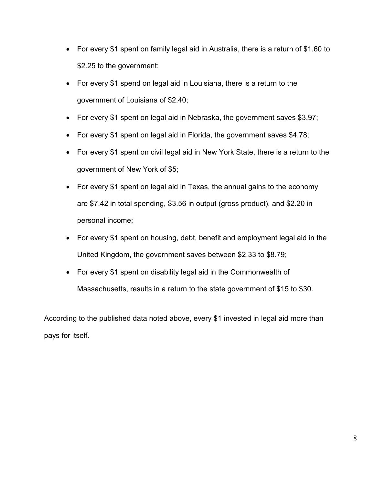- For every \$1 spent on family legal aid in Australia, there is a return of \$1.60 to \$2.25 to the government;
- For every \$1 spend on legal aid in Louisiana, there is a return to the government of Louisiana of \$2.40;
- For every \$1 spent on legal aid in Nebraska, the government saves \$3.97;
- For every \$1 spent on legal aid in Florida, the government saves \$4.78;
- For every \$1 spent on civil legal aid in New York State, there is a return to the government of New York of \$5;
- For every \$1 spent on legal aid in Texas, the annual gains to the economy are \$7.42 in total spending, \$3.56 in output (gross product), and \$2.20 in personal income;
- For every \$1 spent on housing, debt, benefit and employment legal aid in the United Kingdom, the government saves between \$2.33 to \$8.79;
- For every \$1 spent on disability legal aid in the Commonwealth of Massachusetts, results in a return to the state government of \$15 to \$30.

According to the published data noted above, every \$1 invested in legal aid more than pays for itself.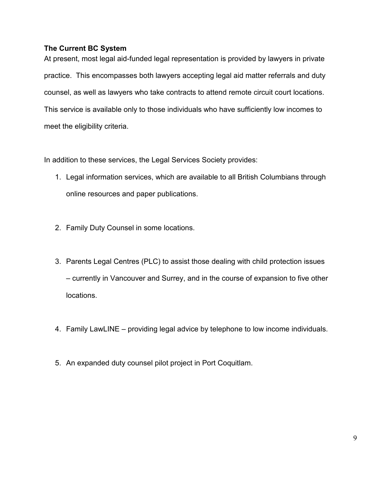### <span id="page-8-0"></span>**The Current BC System**

At present, most legal aid-funded legal representation is provided by lawyers in private practice. This encompasses both lawyers accepting legal aid matter referrals and duty counsel, as well as lawyers who take contracts to attend remote circuit court locations. This service is available only to those individuals who have sufficiently low incomes to meet the eligibility criteria.

In addition to these services, the Legal Services Society provides:

- 1. Legal information services, which are available to all British Columbians through online resources and paper publications.
- 2. Family Duty Counsel in some locations.
- 3. Parents Legal Centres (PLC) to assist those dealing with child protection issues – currently in Vancouver and Surrey, and in the course of expansion to five other locations.
- 4. Family LawLINE providing legal advice by telephone to low income individuals.
- 5. An expanded duty counsel pilot project in Port Coquitlam.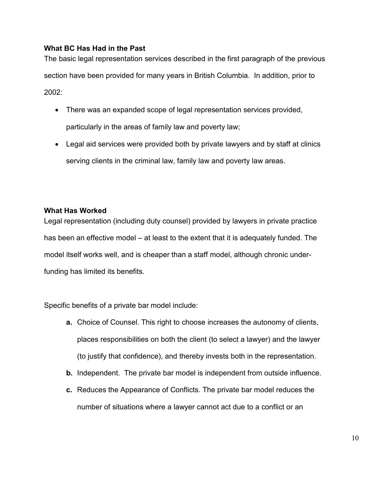### <span id="page-9-0"></span>**What BC Has Had in the Past**

The basic legal representation services described in the first paragraph of the previous section have been provided for many years in British Columbia. In addition, prior to 2002:

- There was an expanded scope of legal representation services provided, particularly in the areas of family law and poverty law;
- Legal aid services were provided both by private lawyers and by staff at clinics serving clients in the criminal law, family law and poverty law areas.

#### <span id="page-9-1"></span>**What Has Worked**

Legal representation (including duty counsel) provided by lawyers in private practice has been an effective model – at least to the extent that it is adequately funded. The model itself works well, and is cheaper than a staff model, although chronic underfunding has limited its benefits.

Specific benefits of a private bar model include:

- **a.** Choice of Counsel. This right to choose increases the autonomy of clients, places responsibilities on both the client (to select a lawyer) and the lawyer (to justify that confidence), and thereby invests both in the representation.
- **b.** Independent. The private bar model is independent from outside influence.
- **c.** Reduces the Appearance of Conflicts. The private bar model reduces the number of situations where a lawyer cannot act due to a conflict or an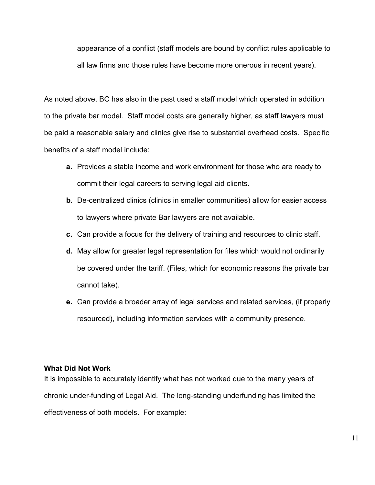appearance of a conflict (staff models are bound by conflict rules applicable to all law firms and those rules have become more onerous in recent years).

As noted above, BC has also in the past used a staff model which operated in addition to the private bar model. Staff model costs are generally higher, as staff lawyers must be paid a reasonable salary and clinics give rise to substantial overhead costs. Specific benefits of a staff model include:

- **a.** Provides a stable income and work environment for those who are ready to commit their legal careers to serving legal aid clients.
- **b.** De-centralized clinics (clinics in smaller communities) allow for easier access to lawyers where private Bar lawyers are not available.
- **c.** Can provide a focus for the delivery of training and resources to clinic staff.
- **d.** May allow for greater legal representation for files which would not ordinarily be covered under the tariff. (Files, which for economic reasons the private bar cannot take).
- **e.** Can provide a broader array of legal services and related services, (if properly resourced), including information services with a community presence.

#### <span id="page-10-0"></span>**What Did Not Work**

It is impossible to accurately identify what has not worked due to the many years of chronic under-funding of Legal Aid. The long-standing underfunding has limited the effectiveness of both models. For example: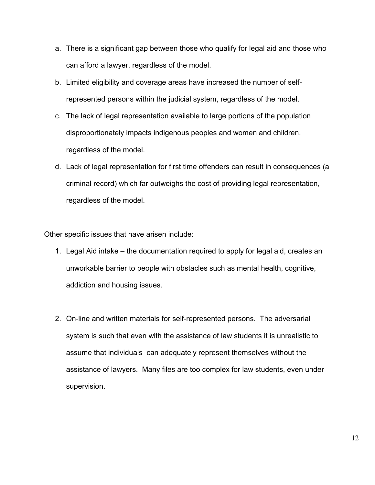- a. There is a significant gap between those who qualify for legal aid and those who can afford a lawyer, regardless of the model.
- b. Limited eligibility and coverage areas have increased the number of selfrepresented persons within the judicial system, regardless of the model.
- c. The lack of legal representation available to large portions of the population disproportionately impacts indigenous peoples and women and children, regardless of the model.
- d. Lack of legal representation for first time offenders can result in consequences (a criminal record) which far outweighs the cost of providing legal representation, regardless of the model.

Other specific issues that have arisen include:

- 1. Legal Aid intake the documentation required to apply for legal aid, creates an unworkable barrier to people with obstacles such as mental health, cognitive, addiction and housing issues.
- 2. On-line and written materials for self-represented persons. The adversarial system is such that even with the assistance of law students it is unrealistic to assume that individuals can adequately represent themselves without the assistance of lawyers. Many files are too complex for law students, even under supervision.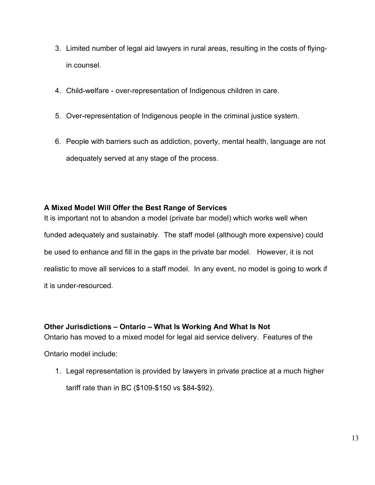- 3. Limited number of legal aid lawyers in rural areas, resulting in the costs of flyingin counsel.
- 4. Child-welfare over-representation of Indigenous children in care.
- 5. Over-representation of Indigenous people in the criminal justice system.
- 6. People with barriers such as addiction, poverty, mental health, language are not adequately served at any stage of the process.

## <span id="page-12-0"></span>**A Mixed Model Will Offer the Best Range of Services**

It is important not to abandon a model (private bar model) which works well when funded adequately and sustainably. The staff model (although more expensive) could be used to enhance and fill in the gaps in the private bar model. However, it is not realistic to move all services to a staff model. In any event, no model is going to work if it is under-resourced.

## <span id="page-12-1"></span>**Other Jurisdictions – Ontario – What Is Working And What Is Not**

Ontario has moved to a mixed model for legal aid service delivery. Features of the

Ontario model include:

1. Legal representation is provided by lawyers in private practice at a much higher tariff rate than in BC (\$109-\$150 vs \$84-\$92).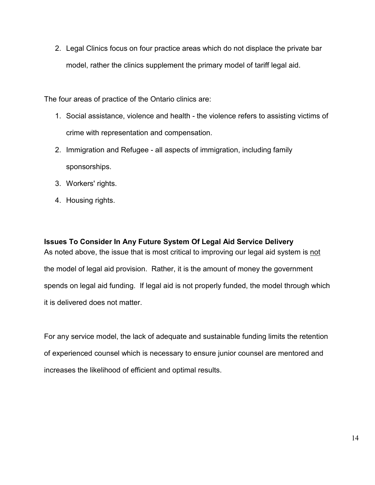2. Legal Clinics focus on four practice areas which do not displace the private bar model, rather the clinics supplement the primary model of tariff legal aid.

The four areas of practice of the Ontario clinics are:

- 1. Social assistance, violence and health the violence refers to assisting victims of crime with representation and compensation.
- 2. Immigration and Refugee all aspects of immigration, including family sponsorships.
- 3. Workers' rights.
- 4. Housing rights.

<span id="page-13-0"></span>**Issues To Consider In Any Future System Of Legal Aid Service Delivery** As noted above, the issue that is most critical to improving our legal aid system is not the model of legal aid provision. Rather, it is the amount of money the government spends on legal aid funding. If legal aid is not properly funded, the model through which it is delivered does not matter.

For any service model, the lack of adequate and sustainable funding limits the retention of experienced counsel which is necessary to ensure junior counsel are mentored and increases the likelihood of efficient and optimal results.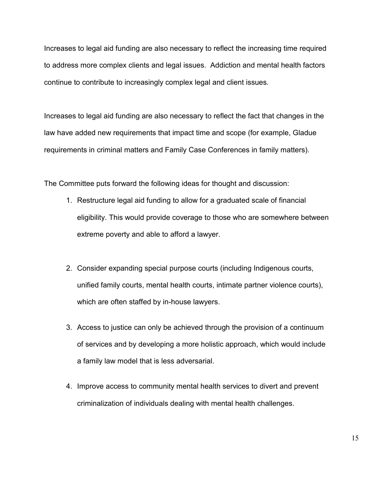Increases to legal aid funding are also necessary to reflect the increasing time required to address more complex clients and legal issues. Addiction and mental health factors continue to contribute to increasingly complex legal and client issues.

Increases to legal aid funding are also necessary to reflect the fact that changes in the law have added new requirements that impact time and scope (for example, Gladue requirements in criminal matters and Family Case Conferences in family matters).

The Committee puts forward the following ideas for thought and discussion:

- 1. Restructure legal aid funding to allow for a graduated scale of financial eligibility. This would provide coverage to those who are somewhere between extreme poverty and able to afford a lawyer.
- 2. Consider expanding special purpose courts (including Indigenous courts, unified family courts, mental health courts, intimate partner violence courts), which are often staffed by in-house lawyers.
- 3. Access to justice can only be achieved through the provision of a continuum of services and by developing a more holistic approach, which would include a family law model that is less adversarial.
- 4. Improve access to community mental health services to divert and prevent criminalization of individuals dealing with mental health challenges.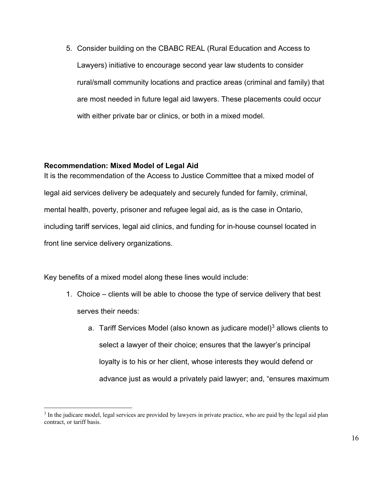5. Consider building on the CBABC REAL (Rural Education and Access to Lawyers) initiative to encourage second year law students to consider rural/small community locations and practice areas (criminal and family) that are most needed in future legal aid lawyers. These placements could occur with either private bar or clinics, or both in a mixed model.

#### <span id="page-15-0"></span>**Recommendation: Mixed Model of Legal Aid**

It is the recommendation of the Access to Justice Committee that a mixed model of legal aid services delivery be adequately and securely funded for family, criminal, mental health, poverty, prisoner and refugee legal aid, as is the case in Ontario, including tariff services, legal aid clinics, and funding for in-house counsel located in front line service delivery organizations.

Key benefits of a mixed model along these lines would include:

- 1. Choice clients will be able to choose the type of service delivery that best serves their needs:
	- a. Tariff Services Model (also known as judicare model)<sup>[3](#page-15-1)</sup> allows clients to select a lawyer of their choice; ensures that the lawyer's principal loyalty is to his or her client, whose interests they would defend or advance just as would a privately paid lawyer; and, "ensures maximum

<span id="page-15-1"></span><sup>&</sup>lt;sup>3</sup> In the judicare model, legal services are provided by lawyers in private practice, who are paid by the legal aid plan contract, or tariff basis.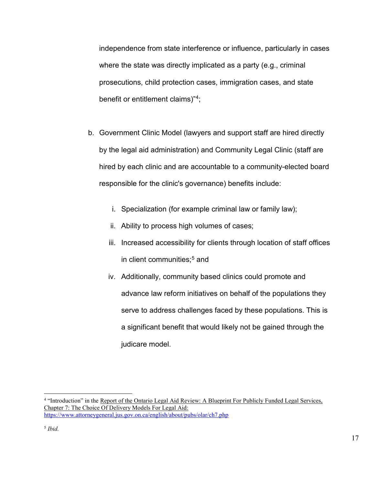independence from state interference or influence, particularly in cases where the state was directly implicated as a party (e.g., criminal prosecutions, child protection cases, immigration cases, and state benefit or entitlement claims)"[4](#page-16-0);

- b. Government Clinic Model (lawyers and support staff are hired directly by the legal aid administration) and Community Legal Clinic (staff are hired by each clinic and are accountable to a community-elected board responsible for the clinic's governance) benefits include:
	- i. Specialization (for example criminal law or family law);
	- ii. Ability to process high volumes of cases;
	- iii. Increased accessibility for clients through location of staff offices in client communities:<sup>[5](#page-16-1)</sup> and
	- iv. Additionally, community based clinics could promote and advance law reform initiatives on behalf of the populations they serve to address challenges faced by these populations. This is a significant benefit that would likely not be gained through the judicare model.

<span id="page-16-0"></span> <sup>4</sup> "Introduction" in the Report of the Ontario Legal Aid Review: <sup>A</sup> Blueprint For Publicly Funded Legal Services, Chapter 7: The Choice Of Delivery Models For Legal Aid: <https://www.attorneygeneral.jus.gov.on.ca/english/about/pubs/olar/ch7.php>

<span id="page-16-1"></span><sup>5</sup> *Ibid.*